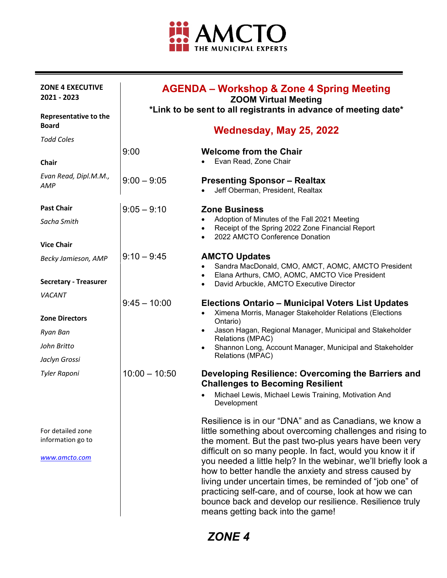

| <b>ZONE 4 EXECUTIVE</b><br>2021 - 2023                  | <b>AGENDA – Workshop &amp; Zone 4 Spring Meeting</b><br><b>ZOOM Virtual Meeting</b><br>*Link to be sent to all registrants in advance of meeting date* |                                                                                                                                                                                                                                                                                                                                                                                                                                                                                                                                                                                                  |
|---------------------------------------------------------|--------------------------------------------------------------------------------------------------------------------------------------------------------|--------------------------------------------------------------------------------------------------------------------------------------------------------------------------------------------------------------------------------------------------------------------------------------------------------------------------------------------------------------------------------------------------------------------------------------------------------------------------------------------------------------------------------------------------------------------------------------------------|
| <b>Representative to the</b><br><b>Board</b>            |                                                                                                                                                        |                                                                                                                                                                                                                                                                                                                                                                                                                                                                                                                                                                                                  |
| <b>Todd Coles</b>                                       |                                                                                                                                                        | Wednesday, May 25, 2022                                                                                                                                                                                                                                                                                                                                                                                                                                                                                                                                                                          |
| Chair                                                   | 9:00                                                                                                                                                   | <b>Welcome from the Chair</b><br>Evan Read, Zone Chair                                                                                                                                                                                                                                                                                                                                                                                                                                                                                                                                           |
| Evan Read, Dipl.M.M.,<br>AMP                            | $9:00 - 9:05$                                                                                                                                          | <b>Presenting Sponsor - Realtax</b><br>Jeff Oberman, President, Realtax                                                                                                                                                                                                                                                                                                                                                                                                                                                                                                                          |
| <b>Past Chair</b>                                       | $9:05 - 9:10$                                                                                                                                          | <b>Zone Business</b>                                                                                                                                                                                                                                                                                                                                                                                                                                                                                                                                                                             |
| Sacha Smith                                             |                                                                                                                                                        | Adoption of Minutes of the Fall 2021 Meeting<br>$\bullet$<br>Receipt of the Spring 2022 Zone Financial Report<br>$\bullet$<br>2022 AMCTO Conference Donation<br>$\bullet$                                                                                                                                                                                                                                                                                                                                                                                                                        |
| <b>Vice Chair</b>                                       |                                                                                                                                                        |                                                                                                                                                                                                                                                                                                                                                                                                                                                                                                                                                                                                  |
| Becky Jamieson, AMP                                     | $9:10 - 9:45$                                                                                                                                          | <b>AMCTO Updates</b><br>Sandra MacDonald, CMO, AMCT, AOMC, AMCTO President<br>Elana Arthurs, CMO, AOMC, AMCTO Vice President<br>$\bullet$                                                                                                                                                                                                                                                                                                                                                                                                                                                        |
| <b>Secretary - Treasurer</b>                            |                                                                                                                                                        | David Arbuckle, AMCTO Executive Director<br>$\bullet$                                                                                                                                                                                                                                                                                                                                                                                                                                                                                                                                            |
| VACANT                                                  | $9:45 - 10:00$                                                                                                                                         |                                                                                                                                                                                                                                                                                                                                                                                                                                                                                                                                                                                                  |
| <b>Zone Directors</b>                                   |                                                                                                                                                        | <b>Elections Ontario - Municipal Voters List Updates</b><br>Ximena Morris, Manager Stakeholder Relations (Elections<br>$\bullet$<br>Ontario)                                                                                                                                                                                                                                                                                                                                                                                                                                                     |
| Ryan Ban                                                |                                                                                                                                                        | Jason Hagan, Regional Manager, Municipal and Stakeholder<br>$\bullet$<br>Relations (MPAC)                                                                                                                                                                                                                                                                                                                                                                                                                                                                                                        |
| John Britto                                             |                                                                                                                                                        | Shannon Long, Account Manager, Municipal and Stakeholder                                                                                                                                                                                                                                                                                                                                                                                                                                                                                                                                         |
| Jaclyn Grossi                                           |                                                                                                                                                        | Relations (MPAC)                                                                                                                                                                                                                                                                                                                                                                                                                                                                                                                                                                                 |
| <b>Tyler Raponi</b>                                     | $10:00 - 10:50$                                                                                                                                        | Developing Resilience: Overcoming the Barriers and<br><b>Challenges to Becoming Resilient</b><br>Michael Lewis, Michael Lewis Training, Motivation And<br>Development                                                                                                                                                                                                                                                                                                                                                                                                                            |
| For detailed zone<br>information go to<br>www.amcto.com |                                                                                                                                                        | Resilience is in our "DNA" and as Canadians, we know a<br>little something about overcoming challenges and rising to<br>the moment. But the past two-plus years have been very<br>difficult on so many people. In fact, would you know it if<br>you needed a little help? In the webinar, we'll briefly look a<br>how to better handle the anxiety and stress caused by<br>living under uncertain times, be reminded of "job one" of<br>practicing self-care, and of course, look at how we can<br>bounce back and develop our resilience. Resilience truly<br>means getting back into the game! |